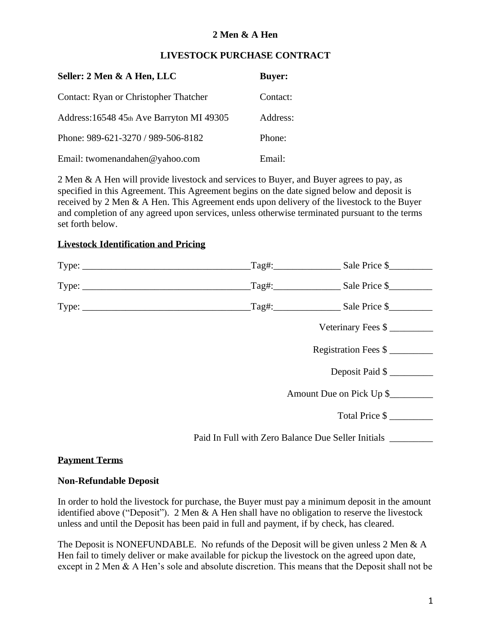#### **LIVESTOCK PURCHASE CONTRACT**

| Seller: 2 Men & A Hen, LLC                | <b>Buyer:</b> |
|-------------------------------------------|---------------|
| Contact: Ryan or Christopher Thatcher     | Contact:      |
| Address: 16548 45th Ave Barryton MI 49305 | Address:      |
| Phone: 989-621-3270 / 989-506-8182        | Phone:        |
| Email: twomenandahen@yahoo.com            | Email:        |

2 Men & A Hen will provide livestock and services to Buyer, and Buyer agrees to pay, as specified in this Agreement. This Agreement begins on the date signed below and deposit is received by 2 Men & A Hen. This Agreement ends upon delivery of the livestock to the Buyer and completion of any agreed upon services, unless otherwise terminated pursuant to the terms set forth below.

#### **Livestock Identification and Pricing**

| Type: | $\text{Tag#:}\n$                                   | Sale Price \$                                                               |
|-------|----------------------------------------------------|-----------------------------------------------------------------------------|
| Type: |                                                    | $\text{Tag#:}$ Sale Price \$                                                |
| Type: |                                                    | $\text{Tag#:}\n\begin{array}{c}\n\text{Take Price } \text{\$}\n\end{array}$ |
|       |                                                    | Veterinary Fees \$                                                          |
|       |                                                    | Registration Fees \$                                                        |
|       |                                                    | Deposit Paid \$                                                             |
|       | Amount Due on Pick Up \$                           |                                                                             |
|       |                                                    | Total Price \$                                                              |
|       | Paid In Full with Zero Balance Due Seller Initials |                                                                             |

#### **Payment Terms**

#### **Non-Refundable Deposit**

In order to hold the livestock for purchase, the Buyer must pay a minimum deposit in the amount identified above ("Deposit"). 2 Men & A Hen shall have no obligation to reserve the livestock unless and until the Deposit has been paid in full and payment, if by check, has cleared.

The Deposit is NONEFUNDABLE. No refunds of the Deposit will be given unless 2 Men & A Hen fail to timely deliver or make available for pickup the livestock on the agreed upon date, except in 2 Men & A Hen's sole and absolute discretion. This means that the Deposit shall not be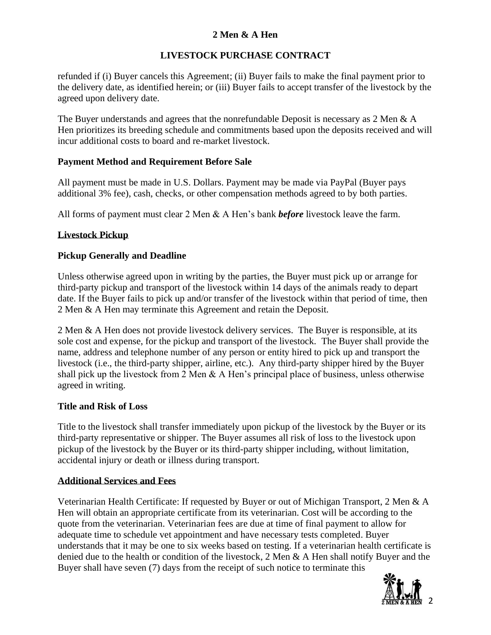# **LIVESTOCK PURCHASE CONTRACT**

refunded if (i) Buyer cancels this Agreement; (ii) Buyer fails to make the final payment prior to the delivery date, as identified herein; or (iii) Buyer fails to accept transfer of the livestock by the agreed upon delivery date.

The Buyer understands and agrees that the nonrefundable Deposit is necessary as 2 Men & A Hen prioritizes its breeding schedule and commitments based upon the deposits received and will incur additional costs to board and re-market livestock.

## **Payment Method and Requirement Before Sale**

All payment must be made in U.S. Dollars. Payment may be made via PayPal (Buyer pays additional 3% fee), cash, checks, or other compensation methods agreed to by both parties.

All forms of payment must clear 2 Men & A Hen's bank *before* livestock leave the farm.

## **Livestock Pickup**

## **Pickup Generally and Deadline**

Unless otherwise agreed upon in writing by the parties, the Buyer must pick up or arrange for third-party pickup and transport of the livestock within 14 days of the animals ready to depart date. If the Buyer fails to pick up and/or transfer of the livestock within that period of time, then 2 Men & A Hen may terminate this Agreement and retain the Deposit.

2 Men & A Hen does not provide livestock delivery services. The Buyer is responsible, at its sole cost and expense, for the pickup and transport of the livestock. The Buyer shall provide the name, address and telephone number of any person or entity hired to pick up and transport the livestock (i.e., the third-party shipper, airline, etc.). Any third-party shipper hired by the Buyer shall pick up the livestock from 2 Men & A Hen's principal place of business, unless otherwise agreed in writing.

#### **Title and Risk of Loss**

Title to the livestock shall transfer immediately upon pickup of the livestock by the Buyer or its third-party representative or shipper. The Buyer assumes all risk of loss to the livestock upon pickup of the livestock by the Buyer or its third-party shipper including, without limitation, accidental injury or death or illness during transport.

#### **Additional Services and Fees**

Veterinarian Health Certificate: If requested by Buyer or out of Michigan Transport, 2 Men & A Hen will obtain an appropriate certificate from its veterinarian. Cost will be according to the quote from the veterinarian. Veterinarian fees are due at time of final payment to allow for adequate time to schedule vet appointment and have necessary tests completed. Buyer understands that it may be one to six weeks based on testing. If a veterinarian health certificate is denied due to the health or condition of the livestock, 2 Men & A Hen shall notify Buyer and the Buyer shall have seven (7) days from the receipt of such notice to terminate this

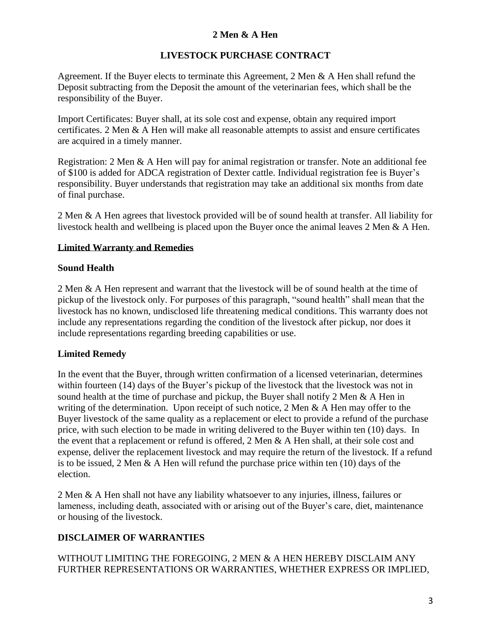## **LIVESTOCK PURCHASE CONTRACT**

Agreement. If the Buyer elects to terminate this Agreement, 2 Men & A Hen shall refund the Deposit subtracting from the Deposit the amount of the veterinarian fees, which shall be the responsibility of the Buyer.

Import Certificates: Buyer shall, at its sole cost and expense, obtain any required import certificates. 2 Men & A Hen will make all reasonable attempts to assist and ensure certificates are acquired in a timely manner.

Registration: 2 Men & A Hen will pay for animal registration or transfer. Note an additional fee of \$100 is added for ADCA registration of Dexter cattle. Individual registration fee is Buyer's responsibility. Buyer understands that registration may take an additional six months from date of final purchase.

2 Men & A Hen agrees that livestock provided will be of sound health at transfer. All liability for livestock health and wellbeing is placed upon the Buyer once the animal leaves 2 Men & A Hen.

#### **Limited Warranty and Remedies**

#### **Sound Health**

2 Men & A Hen represent and warrant that the livestock will be of sound health at the time of pickup of the livestock only. For purposes of this paragraph, "sound health" shall mean that the livestock has no known, undisclosed life threatening medical conditions. This warranty does not include any representations regarding the condition of the livestock after pickup, nor does it include representations regarding breeding capabilities or use.

#### **Limited Remedy**

In the event that the Buyer, through written confirmation of a licensed veterinarian, determines within fourteen (14) days of the Buyer's pickup of the livestock that the livestock was not in sound health at the time of purchase and pickup, the Buyer shall notify 2 Men & A Hen in writing of the determination. Upon receipt of such notice, 2 Men & A Hen may offer to the Buyer livestock of the same quality as a replacement or elect to provide a refund of the purchase price, with such election to be made in writing delivered to the Buyer within ten (10) days. In the event that a replacement or refund is offered, 2 Men & A Hen shall, at their sole cost and expense, deliver the replacement livestock and may require the return of the livestock. If a refund is to be issued, 2 Men  $\&$  A Hen will refund the purchase price within ten (10) days of the election.

2 Men & A Hen shall not have any liability whatsoever to any injuries, illness, failures or lameness, including death, associated with or arising out of the Buyer's care, diet, maintenance or housing of the livestock.

#### **DISCLAIMER OF WARRANTIES**

#### WITHOUT LIMITING THE FOREGOING, 2 MEN & A HEN HEREBY DISCLAIM ANY FURTHER REPRESENTATIONS OR WARRANTIES, WHETHER EXPRESS OR IMPLIED,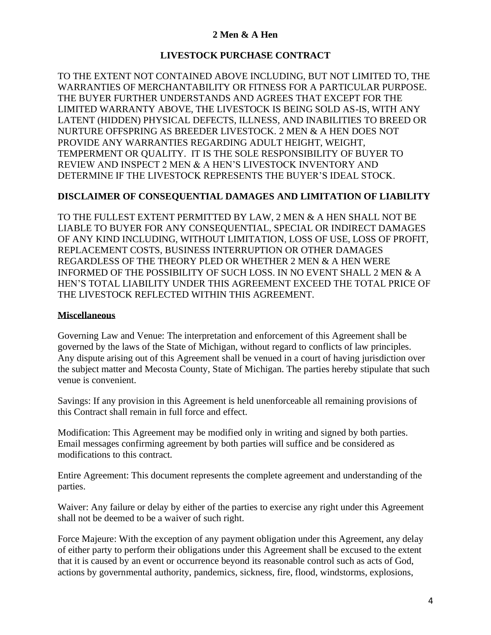## **LIVESTOCK PURCHASE CONTRACT**

TO THE EXTENT NOT CONTAINED ABOVE INCLUDING, BUT NOT LIMITED TO, THE WARRANTIES OF MERCHANTABILITY OR FITNESS FOR A PARTICULAR PURPOSE. THE BUYER FURTHER UNDERSTANDS AND AGREES THAT EXCEPT FOR THE LIMITED WARRANTY ABOVE, THE LIVESTOCK IS BEING SOLD AS-IS, WITH ANY LATENT (HIDDEN) PHYSICAL DEFECTS, ILLNESS, AND INABILITIES TO BREED OR NURTURE OFFSPRING AS BREEDER LIVESTOCK. 2 MEN & A HEN DOES NOT PROVIDE ANY WARRANTIES REGARDING ADULT HEIGHT, WEIGHT, TEMPERMENT OR QUALITY. IT IS THE SOLE RESPONSIBILITY OF BUYER TO REVIEW AND INSPECT 2 MEN & A HEN'S LIVESTOCK INVENTORY AND DETERMINE IF THE LIVESTOCK REPRESENTS THE BUYER'S IDEAL STOCK.

#### **DISCLAIMER OF CONSEQUENTIAL DAMAGES AND LIMITATION OF LIABILITY**

TO THE FULLEST EXTENT PERMITTED BY LAW, 2 MEN & A HEN SHALL NOT BE LIABLE TO BUYER FOR ANY CONSEQUENTIAL, SPECIAL OR INDIRECT DAMAGES OF ANY KIND INCLUDING, WITHOUT LIMITATION, LOSS OF USE, LOSS OF PROFIT, REPLACEMENT COSTS, BUSINESS INTERRUPTION OR OTHER DAMAGES REGARDLESS OF THE THEORY PLED OR WHETHER 2 MEN & A HEN WERE INFORMED OF THE POSSIBILITY OF SUCH LOSS. IN NO EVENT SHALL 2 MEN & A HEN'S TOTAL LIABILITY UNDER THIS AGREEMENT EXCEED THE TOTAL PRICE OF THE LIVESTOCK REFLECTED WITHIN THIS AGREEMENT.

#### **Miscellaneous**

Governing Law and Venue: The interpretation and enforcement of this Agreement shall be governed by the laws of the State of Michigan, without regard to conflicts of law principles. Any dispute arising out of this Agreement shall be venued in a court of having jurisdiction over the subject matter and Mecosta County, State of Michigan. The parties hereby stipulate that such venue is convenient.

Savings: If any provision in this Agreement is held unenforceable all remaining provisions of this Contract shall remain in full force and effect.

Modification: This Agreement may be modified only in writing and signed by both parties. Email messages confirming agreement by both parties will suffice and be considered as modifications to this contract.

Entire Agreement: This document represents the complete agreement and understanding of the parties.

Waiver: Any failure or delay by either of the parties to exercise any right under this Agreement shall not be deemed to be a waiver of such right.

Force Majeure: With the exception of any payment obligation under this Agreement, any delay of either party to perform their obligations under this Agreement shall be excused to the extent that it is caused by an event or occurrence beyond its reasonable control such as acts of God, actions by governmental authority, pandemics, sickness, fire, flood, windstorms, explosions,